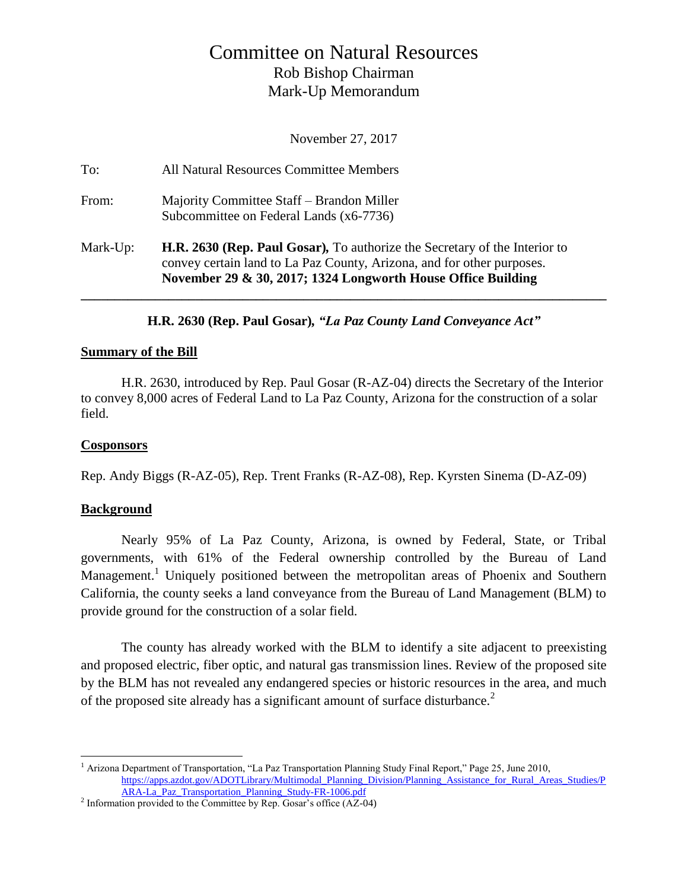# Committee on Natural Resources Rob Bishop Chairman Mark-Up Memorandum

November 27, 2017

| To:      | All Natural Resources Committee Members                                                                                                                                                                                     |
|----------|-----------------------------------------------------------------------------------------------------------------------------------------------------------------------------------------------------------------------------|
| From:    | Majority Committee Staff – Brandon Miller<br>Subcommittee on Federal Lands (x6-7736)                                                                                                                                        |
| Mark-Up: | <b>H.R. 2630 (Rep. Paul Gosar),</b> To authorize the Secretary of the Interior to<br>convey certain land to La Paz County, Arizona, and for other purposes.<br>November 29 & 30, 2017; 1324 Longworth House Office Building |

**H.R. 2630 (Rep. Paul Gosar)***, "La Paz County Land Conveyance Act"*

#### **Summary of the Bill**

H.R. 2630, introduced by Rep. Paul Gosar (R-AZ-04) directs the Secretary of the Interior to convey 8,000 acres of Federal Land to La Paz County, Arizona for the construction of a solar field.

#### **Cosponsors**

Rep. Andy Biggs (R-AZ-05), Rep. Trent Franks (R-AZ-08), Rep. Kyrsten Sinema (D-AZ-09)

## **Background**

Nearly 95% of La Paz County, Arizona, is owned by Federal, State, or Tribal governments, with 61% of the Federal ownership controlled by the Bureau of Land Management.<sup>1</sup> Uniquely positioned between the metropolitan areas of Phoenix and Southern California, the county seeks a land conveyance from the Bureau of Land Management (BLM) to provide ground for the construction of a solar field.

The county has already worked with the BLM to identify a site adjacent to preexisting and proposed electric, fiber optic, and natural gas transmission lines. Review of the proposed site by the BLM has not revealed any endangered species or historic resources in the area, and much of the proposed site already has a significant amount of surface disturbance.<sup>2</sup>

 $\overline{a}$ <sup>1</sup> Arizona Department of Transportation, "La Paz Transportation Planning Study Final Report," Page 25, June 2010, [https://apps.azdot.gov/ADOTLibrary/Multimodal\\_Planning\\_Division/Planning\\_Assistance\\_for\\_Rural\\_Areas\\_Studies/P](https://apps.azdot.gov/ADOTLibrary/Multimodal_Planning_Division/Planning_Assistance_for_Rural_Areas_Studies/PARA-La_Paz_Transportation_Planning_Study-FR-1006.pdf) [ARA-La\\_Paz\\_Transportation\\_Planning\\_Study-FR-1006.pdf](https://apps.azdot.gov/ADOTLibrary/Multimodal_Planning_Division/Planning_Assistance_for_Rural_Areas_Studies/PARA-La_Paz_Transportation_Planning_Study-FR-1006.pdf) 

<sup>&</sup>lt;sup>2</sup> Information provided to the Committee by Rep. Gosar's office  $(AZ-04)$